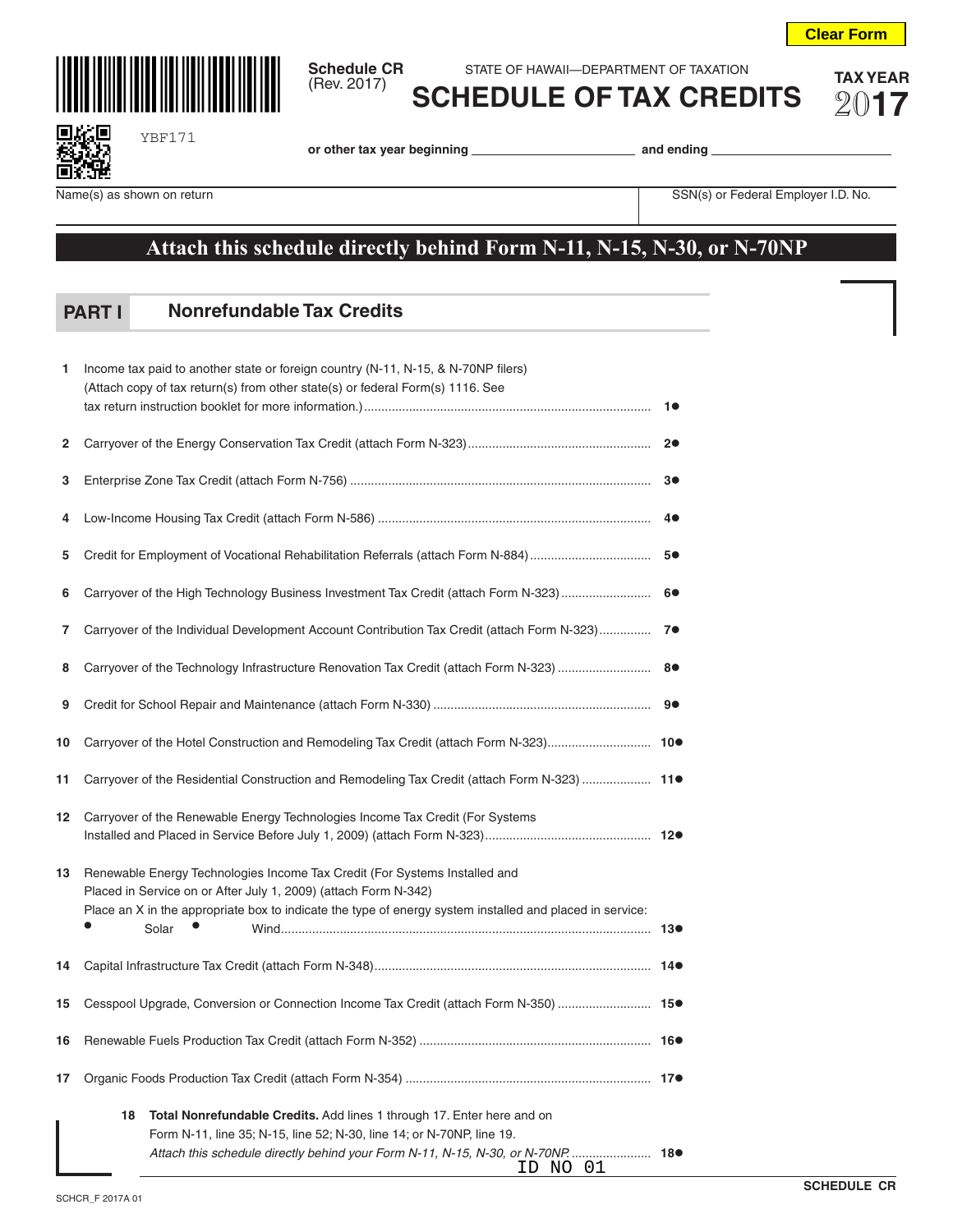



YBF171

**Schedule CR** STATE OF HAWAII—DEPARTMENT OF TAXATION<br>(Rev. 2017) **COLLEDILLE OF TAY ODER** Gev. 2017) **COLLED LIE OF TAX OF TAX OF FRIED** 

**SCHEDULE OF TAX CREDITS** 20**17**

П

**or other tax year beginning and ending** 

Name(s) as shown on return **Name(s)** as shown on return SSN(s) or Federal Employer I.D. No.

## **Attach this schedule directly behind Form N-11, N-15, N-30, or N-70NP**

## **Nonrefundable Tax Credits PART I**

| 1  | Income tax paid to another state or foreign country (N-11, N-15, & N-70NP filers)<br>(Attach copy of tax return(s) from other state(s) or federal Form(s) 1116. See                                                                                                |  |
|----|--------------------------------------------------------------------------------------------------------------------------------------------------------------------------------------------------------------------------------------------------------------------|--|
| 2  |                                                                                                                                                                                                                                                                    |  |
| 3  |                                                                                                                                                                                                                                                                    |  |
| 4  |                                                                                                                                                                                                                                                                    |  |
| 5  |                                                                                                                                                                                                                                                                    |  |
| 6  | Carryover of the High Technology Business Investment Tax Credit (attach Form N-323)  6●                                                                                                                                                                            |  |
| 7  | Carryover of the Individual Development Account Contribution Tax Credit (attach Form N-323) 7●                                                                                                                                                                     |  |
| 8  |                                                                                                                                                                                                                                                                    |  |
| 9  |                                                                                                                                                                                                                                                                    |  |
| 10 | Carryover of the Hotel Construction and Remodeling Tax Credit (attach Form N-323) 10●                                                                                                                                                                              |  |
| 11 | Carryover of the Residential Construction and Remodeling Tax Credit (attach Form N-323)  11●                                                                                                                                                                       |  |
| 12 | Carryover of the Renewable Energy Technologies Income Tax Credit (For Systems                                                                                                                                                                                      |  |
| 13 | Renewable Energy Technologies Income Tax Credit (For Systems Installed and<br>Placed in Service on or After July 1, 2009) (attach Form N-342)<br>Place an X in the appropriate box to indicate the type of energy system installed and placed in service:<br>Solar |  |
| 14 |                                                                                                                                                                                                                                                                    |  |
| 15 | Cesspool Upgrade, Conversion or Connection Income Tax Credit (attach Form N-350)  15●                                                                                                                                                                              |  |
| 16 |                                                                                                                                                                                                                                                                    |  |
| 17 |                                                                                                                                                                                                                                                                    |  |
|    | 18<br><b>Total Nonrefundable Credits.</b> Add lines 1 through 17. Enter here and on<br>Form N-11, line 35; N-15, line 52; N-30, line 14; or N-70NP, line 19.<br>Attach this schedule directly behind your Form N-11, N-15, N-30, or N-70NP 18●<br>ID NO 01         |  |